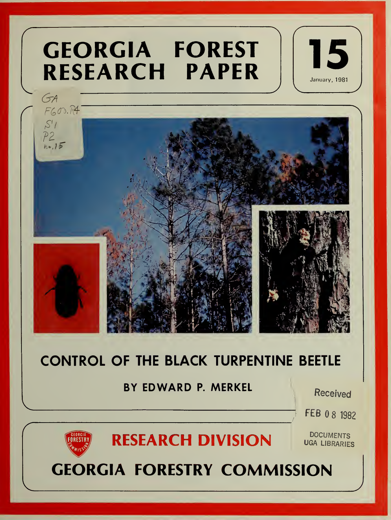# GEORGIA FOREST RESEARCH PAPER || **CEORGIA FORESI 15**





# CONTROL OF THE BLACK TURPENTINE BEETLE

# BY EDWARD P. MERKEL

Received

FEB 08 1982



# RESEARCH DIVISION

**DOCUMENTS** UGA LIBRARIES

GEORGIA FORESTRY COMMISSION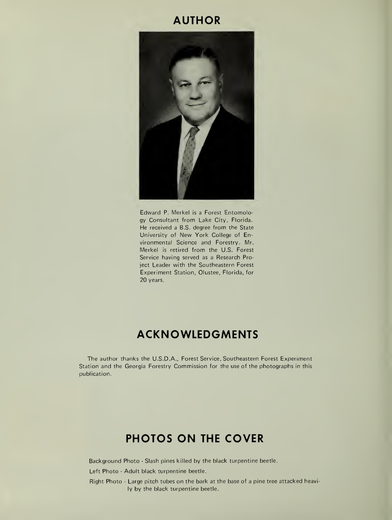## AUTHOR



Edward P. Merkel is <sup>a</sup> Forest Entomology Consultant from Lake City, Florida. He received <sup>a</sup> B.S. degree from the State University of New York College of En vironmental Science and Forestry. Mr. Merkel is retired from the U.S. Forest Service having served as a Research Project Leader with the Southeastern Forest Experiment Station, Olustee, Florida, for 20 years.

# ACKNOWLEDGMENTS

The author thanks the U.S.D.A., Forest Service, Southeastern Forest Experiment Station and the Georgia Forestry Commission for the use of the photographs in this publication.

# PHOTOS ON THE COVER

Background Photo - Slash pines killed by the black turpentine beetle.

Left Photo - Adult black turpentine beetle.

Right Photo - Large pitch tubes on the bark at the base of <sup>a</sup> pine tree attacked heavily by the black turpentine beetle.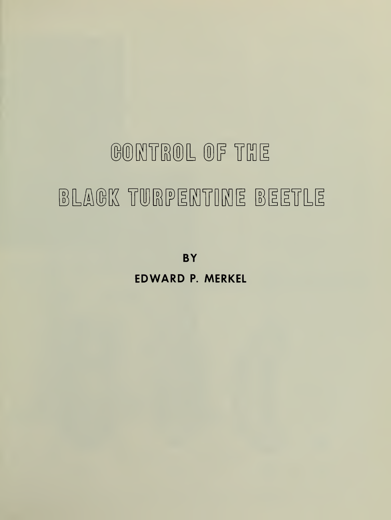# GONTROL OF THE BLAGK TURPENTINE BEETLE

**BY** EDWARD P. MERKEL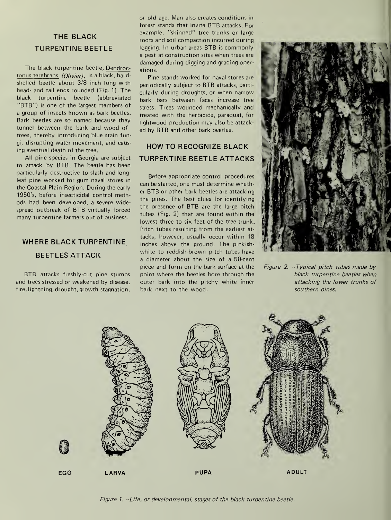#### THE BLACK TURPENTINE BEETLE

The black turpentine beetle, Dendroctonus terebrans (Olivier), is a black, hardshelled beetle about 3/8 inch long with head- and tail ends rounded (Fig. 1). The black turpentine beetle (abbreviated "BTB") is one of the largest members of <sup>a</sup> group of insects known as bark beetles. Bark beetles are so named because they tunnel between the bark and wood of trees, thereby introducing blue stain fungi, disrupting water movement, and causing eventual death of the tree.

All pine species in Georgia are subject to attack by BTB. The beetle has been particularly destructive to slash and longleaf pine worked for gum naval stores in the Coastal Plain Region. During the early 1950's, before insecticidal control methods had been developed, a severe widespread outbreak of BTB virtually forced many turpentine farmers out of business.

## WHERE BLACK TURPENTINE BEETLES ATTACK

BTB attacks freshly-cut pine stumps and trees stressed or weakened by disease, fire, lightning, drought, growth stagnation, or old age. Man also creates conditions in forest stands that invite BTB attacks. For example, "skinned" tree trunks or large roots and soil compaction incurred during logging. In urban areas BTB is commonly <sup>a</sup> pest at construction sites when trees are damaged during digging and grading operations.

Pine stands worked for naval stores are periodically subject to BTB attacks, particularly during droughts, or when narrow bark bars between faces increase tree stress. Trees wounded mechanically and treated with the herbicide, paraquat, for lightwood production may also be attack ed by BTB and other bark beetles.

#### HOW TO RECOGNIZE BLACK TURPENTINE BEETLE ATTACKS

Before appropriate control procedures can be started, one must determine whether BTB or other bark beetles are attacking the pines. The best clues for identifying the presence of BTB are the large pitch tubes (Fig. 2) that are found within the lowest three to six feet of the tree trunk. Pitch tubes resulting from the earliest at tacks, however, usually occur within 18 inches above the ground. The pinkishwhite to reddish-brown pitch tubes have a diameter about the size of <sup>a</sup> 50-cent piece and form on the bark surface at the point where the beetles bore through the cuter bark into the pitchy white inner bark next to the wood.



Figure 2. -Typical pitch tubes made by black turpentine beetles when attacking the lower trunks of southern pines.



Figure 1. -Life, or developmental, stages of the black turpentine beetle.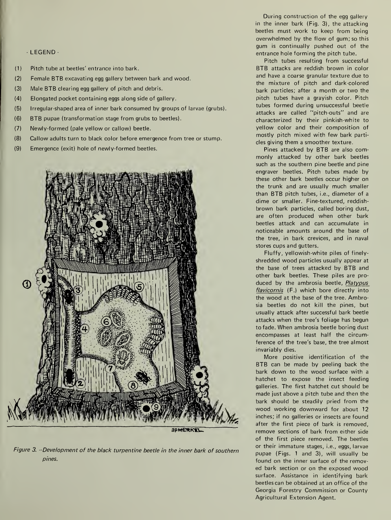#### - LEGEND -

- (1) Pitch tube at beetles' entrance into bark.
- (2) Female BTB excavating egg gallery between bark and wood.
- (3) Male BTB clearing egg gallery of pitch and debris.
- (4) Elongated pocket containing eggs along side of gallery.
- (5) Irregular-shaped area of inner bark consumed by groups of larvae (grubs).
- (6) BTB pupae (transformation stage from grubs to beetles).
- (7) Newly-formed (pale yellow or callow) beetle.
- (8) Callow adults turn to black color before emergence from tree or stump.
- (9) Emergence (exit) hole of newly-formed beetles.



Figure 3. -- Development of the black turpentine beetle in the inner bark of southern pines.

During construction of the egg gallery in the inner bark (Fig. 3), the attacking beetles must work to keep from being overwhelmed by the flow of gum; so this gum is continually pushed out of the entrance hole forming the pitch tube.

Pitch tubes resulting from successful BTB attacks are reddish brown in color and have a coarse granular texture due to the mixture of pitch and dark-colored bark particles; after <sup>a</sup> month or two the pitch tubes have a grayish color. Pitch tubes formed during unsuccessful beetle attacks are called "pitch-outs" and are characterized by their pinkish-white to yellow color and their composition of mostly pitch mixed with few bark parti cles giving them <sup>a</sup> smoother texture.

Pines attacked by BTB are also com monly attacked by other bark beetles such as the southern pine beetle and pine engraver beetles. Pitch tubes made by these other bark beetles occur higher on the trunk and are usually much smaller than BTB pitch tubes, i.e., diameter of <sup>a</sup> dime or smaller. Fine-textured, reddish brown bark particles, called boring dust, are often produced when other bark beetles attack and can accumulate in noticeable amounts around the base of the tree, in bark crevices, and in naval stores cups and gutters.

Fluffy, yellowish-white piles of finelyshredded wood particles usually appear at the base of trees attacked by BTB and other bark beetles. These piles are pro duced by the ambrosia beetle, Platypus flavicornis (F.) which bore directly into the wood at the base of the tree. Ambrosia beetles do not kill the pines, but usually attack after successful bark beetle attacks when the tree's foliage has begun to fade. When ambrosia beetle boring dust encompasses at least half the circumference of the tree's base, the tree almost invariably dies.

More positive identification of the BTB can be made by peeling back the bark down to the wood surface with <sup>a</sup> hatchet to expose the insect feeding galleries. The first hatchet cut should be made just above <sup>a</sup> pitch tube and then the bark should be steadily pried from the wood working downward for about 12 inches; if no galleries or insects are found after the first piece of bark is removed, remove sections of bark from either side of the first piece removed. The beetles or their immature stages, i.e., eggs, larvae pupae (Figs. <sup>1</sup> and 3), will usually be found on the inner surface of the removed bark section or on the exposed wood surface. Assistance in identifying bark beetles can be obtained at an office of the Georgia Forestry Commission or County Agricultural Extension Agent.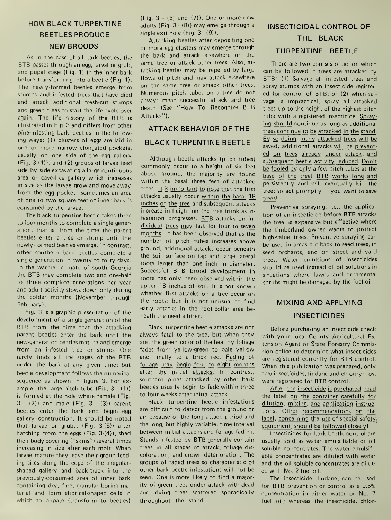#### HOW BLACK TURPENTINE BEETLES PRODUCE NEW BROODS

As in the case of all bark beetles, the BTB passes through an egg, larval or grub, and pupal stage (Fig. 1) in the inner bark before transforming into a beetle (Fig. 1). The newly-formed beetles emerge from stumps and infested trees that have died and attack additional fresh-cut stumps and green trees to start the life cycle over again. The life history of the BTB isillustrated in Fig. 3 and differs from other pine-infesting bark beetles in the following ways: (1) clusters of eggs are laid in one or more narrow elongated pockets, usually on one side of the egg gallery (Fig. 3-(4)); and (2) groups of larvae feed side by side excavating <sup>a</sup> large continuous area or cave-like gallery which increases in size as the larvae grow and move away from the egg pocket: sometimes an area of one to two square feet of inner bark is consumed by the larvae.

The black turpentine beetle takes three to four months to complete <sup>a</sup> single generation, that is, from the time the parent beetles enter <sup>a</sup> tree or stump until the newly-formed beetles emerge. In contrast, other southern bark beetles complete a single generation in twenty to forty days. In the warmer climate of south Georgia the BTB may complete two and one-half to three complete generations per year and adult activity slows down only during the colder months (November through February).

Fig. 3 is a graphic presentation of the development of <sup>a</sup> single generation of the BTB from the time that the attacking parent beetles enter the bark until the new-generation beetles mature and emerge from an infested tree or stump. One rarely finds all life stages of the BTB under the bark at any given time; but beetle development follows the numerical sequence as shown in figure 3. For ex ample, the large pitch tube (Fig. 3 - (1)) is formed at the hole where female (Fig. 3 - (2)) and male (Fig. 3 - (3)) parent beetles enter the bark and begin egg gallery construction. It should be noted that larvae or grubs, (Fig. 3-(5)) after hatching from the eggs (Fig. 3-(4)), shed their body covering ("skins") several times increasing in size after each molt. When larvae mature they leave their group feeding sites along the edge of the irregularshaped gallery and back-track into the previously-consumed area of inner bark containing dry, fine, granular boring material and form eliptical-shaped cells in which to pupate (transform to beetles)

(Fig.  $3 - (6)$  and  $(7)$ ). One or more new adults (Fig. 3 - (8)) may emerge through <sup>a</sup> single exit hole (Fig. 3 - (9)).

Attacking beetles after depositing one or more egg clusters may emerge through the bark and attack elsewhere on the same tree or attack other trees. Also, at tacking beetles may be repelled by large flows of pitch and may attack elsewhere on the same tree or attack other trees. Numerous pitch tubes on <sup>a</sup> tree do not always mean successful attack and tree death (See "How To Recognize BTB Attacks").

#### ATTACK BEHAVIOR OF THE BLACK TURPENTINE BEETLE

Although beetle attacks (pitch tubes) commonly occur to <sup>a</sup> height of six feet above ground, the majority are found within the basal three feet of attacked trees. It is important to note that the first attacks usually occur within the basal 18 inches of the tree and subsequent attacks increase in height on the tree trunk as in festation progresses. BTB attacks on in dividual trees may last for four to seven months. It has been observed that as the number of pitch tubes increases above ground, additional attacks occur beneath the soil surface on tap and large lateral roots larger than one inch in diameter. Successful BTB brood development in roots has only been observed within the upper 18 inches of soil. It is not known whether first attacks on <sup>a</sup> tree occur on the roots; but it is not unusual to find early attacks in the root-collar area be neath the needle litter.

Black turpentine beetle attacks are not always fatal to the tree, but when they are, the green color of the healthy foliage fades from yellow-green to pale yellow and finally to <sup>a</sup> brick red. Fading of foliage may begin four to eight months after the initial attacks. In contrast, southern pines attacked by other bark beetles usually begin to fade within three to four weeks after initial attack.

Black turpentine beetle infestations are difficult to detect from the ground or air because of the long attack period and the long, but highly variable, time interval between initial attacks and foliage fading. Stands infested by BTB generally contain trees in all stages of attack, foliage dis coloration, and crown deterioration. The groups of faded trees so characteristic of other bark beetle infestations will not be seen. One is more likely to find a majority of green trees under attack with dead and dying trees scattered sporadically throughout the stand.

# INSECTICIDAL CONTROL OF THE BLACK TURPENTINE BEETLE

There are two courses of action which can be followed if trees are attacked by BTB: (1) Salvage all infested trees and spray stumps with an insecticide registered for control of BTB; or (2) when sal vage is impractical, spray all attacked trees up to the height of the highest pitch tube with <sup>a</sup> registered insecticide. Spraying should continue as long as additional trees continue to be attacked in the stand. By so doing, many attacked trees will be saved, additional attacks will be prevented on trees already under attack, and subsequent beetle activity reduced. Don't be fooled by only <sup>a</sup> few pitch tubes at the base of the tree! BTB works long and persistently and will eventually kill the tree; so act promptly if you want to save trees!

Preventive spraying, i.e., the applica tion of an insecticide before BTB attacks the tree, is expensive but effective where the timberland owner wants to protect high-value trees. Preventive spraying can be used in areas cut back to seed trees, in seed orchards, and on street and yard trees. Water emulsions of insecticides should be used instead of oil solutions in situations where lawns and ornamental shrubs might be damaged by the fuel oil.

### MIXING AND APPLYING INSECTICIDES

Before purchasing an insecticide check with your local County Agricultural Ex tension Agent or State Forestry Commission office to determine what insecticides are registered currently for BTB control. When this publication was prepared, only two insecticides, lindane and chlorpyrifos, were registered for BTB control.

After the insecticide is purchased, read the label on the container carefully for dilution, mixing, and application instructions. Other recommendations on the label, concerning the use of special safety, equipment, should be followed closely!

Insecticides for bark beetle control are usually sold as water emulsifiable or oil soluble concentrates. The water emulsifi able concentrates are diluted with water and the oil soluble concentrates are dilut ed with No. 2 fuel oil.

The insecticide, lindane, can be used for BTB prevention or control as <sup>a</sup> 0.5% concentration in either water or No. 2 fuel oil; whereas the insecticide, chlor-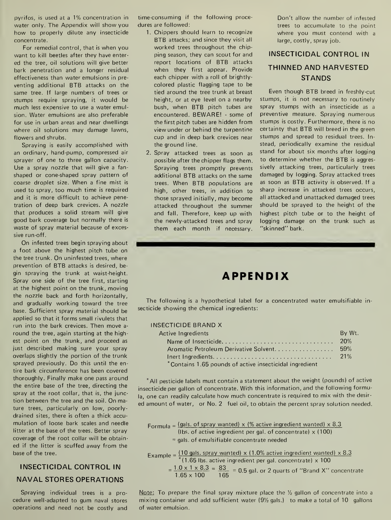pyrifos, is used at <sup>a</sup> 1% concentration in water only. The Appendix will show you how to properly dilute any insecticide concentrate.

For remedial control, that is when you want to kill beetles after they have enter ed the tree, oil solutions will give better bark penetration and <sup>a</sup> longer residual effectiveness than water emulsions in pre venting additional BTB attacks on the same tree. If large numbers of trees or stumps require spraying, it would be much less expensive to use <sup>a</sup> water emulsion. Water emulsions are also preferable for use in urban areas and near dwellings where oil solutions may damage lawns, flowers and shrubs.

Spraying is easily accomplished with an ordinary, hand-pump, compressed air sprayer of one to three gallon capacity. Use a spray nozzle that will give a fan shaped or cone-shaped spray pattern of coarse droplet size. When a fine mist is used to spray, too much time is required and it is more difficult to achieve penetration of deep bark crevices. A nozzle that produces a solid stream will give good bark coverage but normally there is waste of spray material because of excessive run-off.

On infested trees begin spraying about <sup>a</sup> foot above the highest pitch tube on the tree trunk. On uninfested trees, where prevention of BTB attacks is desired, begin spraying the trunk at waist-height. Spray one side of the tree first, starting at the highest point on the trunk, moving the nozzle back and forth horizontally, and gradually working toward the tree base. Sufficient spray material should be applied so that it forms small rivulets that run into the bark crevices. Then move a round the tree, again starting at the highest point on the trunk, and proceed as just described making sure your spray overlaps slightly the portion of the trunk sprayed previously. Do this until the entire bark circumference has been covered thoroughly. Finally make one pass around the entire base of the tree, directing the spray at the root collar, that is, the junction between the tree and the soil. On mature trees, particularly on low, poorlydrained sites, there is often a thick accu mulation of loose bark scales and needle litter at the base of the trees. Better spray coverage of the root collar will be obtain ed if the litter is scuffed away from the base of the tree.

## INSECTICIDAL CONTROL IN NAVAL STORES OPERATIONS

Spraying individual trees is a pro cedure well-adapted to gum naval stores operations and need not be costly and time-consuming if the following proce dures are followed:

- 1. Chippers should learn to recognize BTB attacks; and since they visit all worked trees throughout the chipping season, they can scout for and report locations of BTB attacks when they first appear. Provide each chipper with a roll of brightly colored plastic flagging tape to be tied around the tree trunk at breast height, or at eye level on a nearby bush, when BTB pitch tubes are encountered. BEWARE! - some of the first pitch tubes are hidden from view under or behind the turpentine cup and in deep bark crevices near the ground line.
- 2. Spray attacked trees as soon as possible after the chipper flags them. Spraying trees promptly prevents additional BTB attacks on the same trees. When BTB populations are high, other trees, in addition to those sprayed initially, may become attacked throughout the summer and fall. Therefore, keep up with the newly-attacked trees and spray them each month if necessary.

Don't allow the number of infested trees to accumulate to the point where you must contend with <sup>a</sup> large, costly, spray job.

#### INSECTICIDAL CONTROL IN THINNED AND HARVESTED STANDS

Even though BTB breed in freshly-cut stumps, it is not necessary to routinely spray stumps with an insecticide as <sup>a</sup> preventive measure. Spraying numerous stumps is costly. Furthermore, there is no certainty that BTB will breed in the green stumps and spread to residual trees. In stead, periodically examine the residual stand for about six months after logging to determine whether the BTB is aggressively attacking trees, particularly trees damaged by logging. Spray attacked trees as soon as BTB activity is observed. If <sup>a</sup> sharp increase in attacked trees occurs, all attacked and unattacked damaged trees should be sprayed to the height of the highest pitch tube or to the height of logging damage on the trunk such as "skinned" bark.

# APPENDIX

The following is <sup>a</sup> hypothetical label for <sup>a</sup> concentrated water emulsifiable in secticide showing the chemical ingredients:

#### INSECTICIDE BRAND X

| Active Ingredients                                      | By Wt. |
|---------------------------------------------------------|--------|
|                                                         |        |
| Aromatic Petroleum Derivative Solvent 59%               |        |
|                                                         |        |
| *Contains 1.65 pounds of active insecticidal ingredient |        |
|                                                         |        |

\*AII pesticide labels must contain <sup>a</sup> statement about the weight (pounds) of active insecticide per gallon of concentrate. With this information, and the following formula, one can readily calculate how much concentrate is required to mix with the desir ed amount of water, or No. 2 fuel oil, to obtain the percent spray solution needed.

Formula =  $(gals. of spray wanted) \times$  (% active ingredient wanted)  $\times$  8.3 (Ibs. of active ingredient per gal. of concentrate)  $\times$  (100) = gals, of emulsifiable concentrate needed

Example [ <sup>10</sup> gals, spray wanted) <sup>x</sup> (1.0% active ingredient wanted) <sup>x</sup> 8.3  $*(1.65$  lbs. active ingredient per gal. concentrate)  $\times$  100  $=$   $\frac{1.0 \times 1 \times 8.3}{1.65 \times 100} = \frac{83}{165} = 0.5$  gal. or 2 quarts of "Brand X" concentrate

Note: To prepare the final spray mixture place the  $\frac{1}{2}$  gallon of concentrate into a mixing container and add sufficient water  $(9\frac{1}{2}$  gals.) to make a total of 10 gallons of water emulsion.